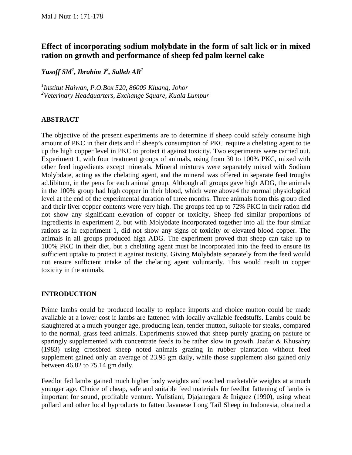# **Effect of incorporating sodium molybdate in the form of salt lick or in mixed ration on growth and performance of sheep fed palm kernel cake**

*Yusoff SM<sup>1</sup> , Ibrahim J2 , Salleh AR<sup>1</sup>*

*1 Institut Haiwan, P.O.Box 520, 86009 Kluang, Johor 2 Veterinary Headquarters, Exchange Square, Kuala Lumpur* 

#### **ABSTRACT**

The objective of the present experiments are to determine if sheep could safely consume high amount of PKC in their diets and if sheep's consumption of PKC require a chelating agent to tie up the high copper level in PKC to protect it against toxicity. Two experiments were carried out. Experiment 1, with four treatment groups of animals, using from 30 to 100% PKC, mixed with other feed ingredients except minerals. Mineral mixtures were separately mixed with Sodium Molybdate, acting as the chelating agent, and the mineral was offered in separate feed troughs ad.libitum, in the pens for each animal group. Although all groups gave high ADG, the animals in the 100% group had high copper in their blood, which were above4 the normal physiological level at the end of the experimental duration of three months. Three animals from this group died and their liver copper contents were very high. The groups fed up to 72% PKC in their ration did not show any significant elevation of copper or toxicity. Sheep fed similar proportions of ingredients in experiment 2, but with Molybdate incorporated together into all the four similar rations as in experiment 1, did not show any signs of toxicity or elevated blood copper. The animals in all groups produced high ADG. The experiment proved that sheep can take up to 100% PKC in their diet, but a chelating agent must be incorporated into the feed to ensure its sufficient uptake to protect it against toxicity. Giving Molybdate separately from the feed would not ensure sufficient intake of the chelating agent voluntarily. This would result in copper toxicity in the animals.

#### **INTRODUCTION**

Prime lambs could be produced locally to replace imports and choice mutton could be made available at a lower cost if lambs are fattened with locally available feedstuffs. Lambs could be slaughtered at a much younger age, producing lean, tender mutton, suitable for steaks, compared to the normal, grass feed animals. Experiments showed that sheep purely grazing on pasture or sparingly supplemented with concentrate feeds to be rather slow in growth. Jaafar & Khusahry (1983) using crossbred sheep noted animals grazing in rubber plantation without feed supplement gained only an average of 23.95 gm daily, while those supplement also gained only between 46.82 to 75.14 gm daily.

Feedlot fed lambs gained much higher body weights and reached marketable weights at a much younger age. Choice of cheap, safe and suitable feed materials for feedlot fattening of lambs is important for sound, profitable venture. Yulistiani, Djajanegara & Iniguez (1990), using wheat pollard and other local byproducts to fatten Javanese Long Tail Sheep in Indonesia, obtained a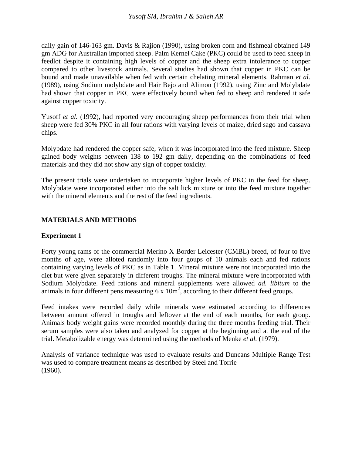daily gain of 146-163 gm. Davis & Rajion (1990), using broken corn and fishmeal obtained 149 gm ADG for Australian imported sheep. Palm Kernel Cake (PKC) could be used to feed sheep in feedlot despite it containing high levels of copper and the sheep extra intolerance to copper compared to other livestock animals. Several studies had shown that copper in PKC can be bound and made unavailable when fed with certain chelating mineral elements. Rahman *et al.*  (1989), using Sodium molybdate and Hair Bejo and Alimon (1992), using Zinc and Molybdate had shown that copper in PKC were effectively bound when fed to sheep and rendered it safe against copper toxicity.

Yusoff *et al.* (1992), had reported very encouraging sheep performances from their trial when sheep were fed 30% PKC in all four rations with varying levels of maize, dried sago and cassava chips.

Molybdate had rendered the copper safe, when it was incorporated into the feed mixture. Sheep gained body weights between 138 to 192 gm daily, depending on the combinations of feed materials and they did not show any sign of copper toxicity.

The present trials were undertaken to incorporate higher levels of PKC in the feed for sheep. Molybdate were incorporated either into the salt lick mixture or into the feed mixture together with the mineral elements and the rest of the feed ingredients.

## **MATERIALS AND METHODS**

## **Experiment 1**

Forty young rams of the commercial Merino X Border Leicester (CMBL) breed, of four to five months of age, were alloted randomly into four goups of 10 animals each and fed rations containing varying levels of PKC as in Table 1. Mineral mixture were not incorporated into the diet but were given separately in different troughs. The mineral mixture were incorporated with Sodium Molybdate. Feed rations and mineral supplements were allowed *ad. libitum* to the animals in four different pens measuring 6 x  $10m^2$ , according to their different feed groups.

Feed intakes were recorded daily while minerals were estimated according to differences between amount offered in troughs and leftover at the end of each months, for each group. Animals body weight gains were recorded monthly during the three months feeding trial. Their serum samples were also taken and analyzed for copper at the beginning and at the end of the trial. Metabolizable energy was determined using the methods of Menke *et al.* (1979).

Analysis of variance technique was used to evaluate results and Duncans Multiple Range Test was used to compare treatment means as described by Steel and Torrie (1960).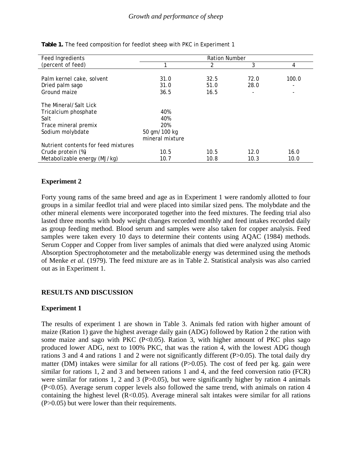| Feed Ingredients                    | <b>Ration Number</b> |      |                          |       |
|-------------------------------------|----------------------|------|--------------------------|-------|
| (percent of feed)                   | 1                    | 2    | 3                        | 4     |
|                                     |                      |      |                          |       |
| Palm kernel cake, solvent           | 31.0                 | 32.5 | 72.0                     | 100.0 |
| Dried palm sago                     | 31.0                 | 51.0 | 28.0                     | ۰     |
| Ground maize                        | 36.5                 | 16.5 | $\overline{\phantom{a}}$ |       |
| The Mineral/Salt Lick               |                      |      |                          |       |
| Tricalcium phosphate                | 40%                  |      |                          |       |
| Salt                                | 40%                  |      |                          |       |
| Trace mineral premix                | 20%                  |      |                          |       |
| Sodium molybdate                    | 50 gm/100 kg         |      |                          |       |
|                                     | mineral mixture      |      |                          |       |
| Nutrient contents for feed mixtures |                      |      |                          |       |
| Crude protein (%)                   | 10.5                 | 10.5 | 12.0                     | 16.0  |
| Metabolizable energy (MJ/kg)        | 10.7                 | 10.8 | 10.3                     | 10.0  |

**Table 1.** The feed composition for feedlot sheep with PKC in Experiment 1

## **Experiment 2**

Forty young rams of the same breed and age as in Experiment 1 were randomly allotted to four groups in a similar feedlot trial and were placed into similar sized pens. The molybdate and the other mineral elements were incorporated together into the feed mixtures. The feeding trial also lasted three months with body weight changes recorded monthly and feed intakes recorded daily as group feeding method. Blood serum and samples were also taken for copper analysis. Feed samples were taken every 10 days to determine their contents using AQAC (1984) methods. Serum Copper and Copper from liver samples of animals that died were analyzed using Atomic Absorption Spectrophotometer and the metabolizable energy was determined using the methods of Menke *et al.* (1979). The feed mixture are as in Table 2. Statistical analysis was also carried out as in Experiment 1.

## **RESULTS AND DISCUSSION**

#### **Experiment 1**

The results of experiment 1 are shown in Table 3. Animals fed ration with higher amount of maize (Ration 1) gave the highest average daily gain (ADG) followed by Ration 2 the ration with some maize and sago with PKC  $(P<0.05)$ . Ration 3, with higher amount of PKC plus sago produced lower ADG, next to 100% PKC, that was the ration 4, with the lowest ADG though rations 3 and 4 and rations 1 and 2 were not significantly different (P>0.05). The total daily dry matter (DM) intakes were similar for all rations (P>0.05). The cost of feed per kg. gain were similar for rations 1, 2 and 3 and between rations 1 and 4, and the feed conversion ratio (FCR) were similar for rations 1, 2 and 3 ( $P > 0.05$ ), but were significantly higher by ration 4 animals (P<0.05). Average serum copper levels also followed the same trend, with animals on ration 4 containing the highest level  $(R<0.05)$ . Average mineral salt intakes were similar for all rations (P>0.05) but were lower than their requirements.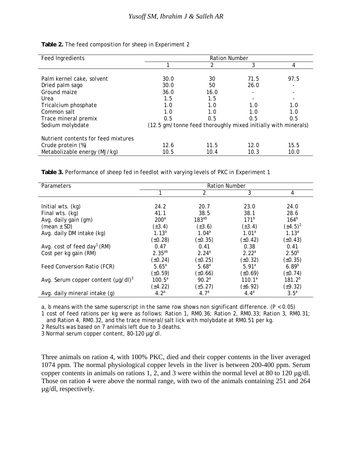| Feed Ingredients                    | <b>Ration Number</b>                                          |      |                          |      |
|-------------------------------------|---------------------------------------------------------------|------|--------------------------|------|
|                                     |                                                               |      | 3                        | 4    |
|                                     |                                                               |      |                          |      |
| Palm kernel cake, solvent           | 30.0                                                          | 30   | 71.5                     | 97.5 |
| Dried palm sago                     | 30.0                                                          | 50   | 26.0                     |      |
| Ground maize                        | 36.0                                                          | 16.0 | $\overline{\phantom{a}}$ |      |
| Urea                                | 1.5                                                           | 1.5  | $\overline{\phantom{a}}$ |      |
| Tricalcium phosphate                | 1.0                                                           | 1.0  | 1.0                      | 1.0  |
| Common salt                         | 1.0                                                           | 1.0  | 1.0                      | 1.0  |
| Trace mineral premix                | 0.5                                                           | 0.5  | 0.5                      | 0.5  |
| Sodium molybdate                    | (12.5 gm/tonne feed thoroughly mixed initially with minerals) |      |                          |      |
| Nutrient contents for feed mixtures |                                                               |      |                          |      |
| Crude protein (%)                   | 12.6                                                          | 11.5 | 12.0                     | 15.5 |
| Metabolizable energy (MJ/kg)        | 10.5                                                          | 10.4 | 10.3                     | 10.0 |

**Table 2.** The feed composition for sheep in Experiment 2

**Table 3.** Performance of sheep fed in feedlot with varying levels of PKC in Experiment 1

| Parameters                               | <b>Ration Number</b> |                   |                   |                  |
|------------------------------------------|----------------------|-------------------|-------------------|------------------|
|                                          |                      | $\mathcal{P}$     | 3                 | 4                |
|                                          |                      |                   |                   |                  |
| Initial wts. (kg)                        | 24.2                 | 20.7              | 23.0              | 24.0             |
| Final wts. (kg)                          | 41.1                 | 38.5              | 38.1              | 28.6             |
| Avg. daily gain (gm)                     | 200 <sup>a</sup>     | $183^{ab}$        | 171 <sup>b</sup>  | 164 <sup>b</sup> |
| (mean $\pm$ SD)                          | $(\pm 3.4)$          | $(\pm 3.6)$       | $(\pm 3.4)$       | $(\pm 4.5)^2$    |
| Avg. daily DM intake (kg)                | $1.13^{a}$           | 1.04 <sup>a</sup> | $1.01^a$          | $1.13^{a}$       |
|                                          | $(\pm 0.28)$         | $(\pm 0.35)$      | $(\pm 0.42)$      | $(\pm 0.43)$     |
| Avg. cost of feed day <sup>1</sup> (RM)  | 0.47                 | 0.41              | 0.38              | 0.41             |
| Cost per kg gain (RM)                    | $2.35^{ab}$          | 2.24 <sup>a</sup> | 2.22 <sup>a</sup> | $2.50^{b}$       |
|                                          | $(\pm 0.24)$         | $(*0.25)$         | $(\pm 0.32)$      | $(\pm 0.35)$     |
| Feed Conversion Ratio (FCR)              | $5.65^a$             | $5.68^{a}$        | 5.91 <sup>a</sup> | $6.89^{b}$       |
|                                          | $(\pm 0.59)$         | $(\pm 0.66)$      | $(*0.69)$         | $(\pm 0.74)$     |
| Avg. Serum copper content $(\mu q/dl)^3$ | $100.5^a$            | 90.2 <sup>a</sup> | $110.1^a$         | $181.2^{p}$      |
|                                          | (±4.22)              | $(\pm 5.27)$      | $(\pm 6.92)$      | $(\pm 9.32)$     |
| Avg. daily mineral intake (g)            | $4.2^a$              | 4.7 <sup>a</sup>  | $4.4^{a}$         | 3.5 <sup>a</sup> |

a, b means with the same superscript in the same row shows non significant difference.  $(P < 0.05)$ 

1 cost of feed rations per kg were as follows: Ration 1, RM0.36; Ration 2, RM0.33; Ration 3, RM0.31; and Ration 4, RM0.32, and the trace mineral/salt lick with molybdate at RM0.51 per kg.

2 Results was based on 7 animals left due to 3 deaths.

3 Normal serum copper content, 80-120 µg/dl.

Three animals on ration 4, with 100% PKC, died and their copper contents in the liver averaged 1074 ppm. The normal physiological copper levels in the liver is between 200-400 ppm. Serum copper contents in animals on rations 1, 2, and 3 were within the normal level at 80 to 120  $\mu$ g/dl. Those on ration 4 were above the normal range, with two of the animals containing 251 and 264 µg/dl, respectively.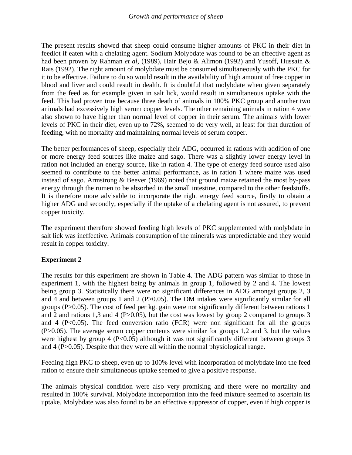The present results showed that sheep could consume higher amounts of PKC in their diet in feedlot if eaten with a chelating agent. Sodium Molybdate was found to be an effective agent as had been proven by Rahman *et al,* (1989), Hair Bejo & Alimon (1992) and Yusoff, Hussain & Rais (1992). The right amount of molybdate must be consumed simultaneously with the PKC for it to be effective. Failure to do so would result in the availability of high amount of free copper in blood and liver and could result in dealth. It is doubtful that molybdate when given separately from the feed as for example given in salt lick, would result in simultaneous uptake with the feed. This had proven true because three death of animals in 100% PKC group and another two animals had excessively high serum copper levels. The other remaining animals in ration 4 were also shown to have higher than normal level of copper in their serum. The animals with lower levels of PKC in their diet, even up to 72%, seemed to do very well, at least for that duration of feeding, with no mortality and maintaining normal levels of serum copper.

The better performances of sheep, especially their ADG, occurred in rations with addition of one or more energy feed sources like maize and sago. There was a slightly lower energy level in ration not included an energy source, like in ration 4. The type of energy feed source used also seemed to contribute to the better animal performance, as in ration 1 where maize was used instead of sago. Armstrong & Beever (1969) noted that ground maize retained the most by-pass energy through the rumen to be absorbed in the small intestine, compared to the other feedstuffs. It is therefore more advisable to incorporate the right energy feed source, firstly to obtain a higher ADG and secondly, especially if the uptake of a chelating agent is not assured, to prevent copper toxicity.

The experiment therefore showed feeding high levels of PKC supplemented with molybdate in salt lick was ineffective. Animals consumption of the minerals was unpredictable and they would result in copper toxicity.

## **Experiment 2**

The results for this experiment are shown in Table 4. The ADG pattern was similar to those in experiment 1, with the highest being by animals in group 1, followed by 2 and 4. The lowest being group 3. Statistically there were no significant differences in ADG amongst groups 2, 3 and 4 and between groups 1 and 2 (P $> 0.05$ ). The DM intakes were significantly similar for all groups (P>0.05). The cost of feed per kg. gain were not significantly different between rations 1 and 2 and rations 1,3 and 4 (P $>0.05$ ), but the cost was lowest by group 2 compared to groups 3 and 4 ( $P<0.05$ ). The feed conversion ratio ( $FCR$ ) were non significant for all the groups (P>0.05). The average serum copper contents were similar for groups 1,2 and 3, but the values were highest by group 4 (P<0.05) although it was not significantly different between groups 3 and 4 (P>0.05). Despite that they were all within the normal physiological range.

Feeding high PKC to sheep, even up to 100% level with incorporation of molybdate into the feed ration to ensure their simultaneous uptake seemed to give a positive response.

The animals physical condition were also very promising and there were no mortality and resulted in 100% survival. Molybdate incorporation into the feed mixture seemed to ascertain its uptake. Molybdate was also found to be an effective suppressor of copper, even if high copper is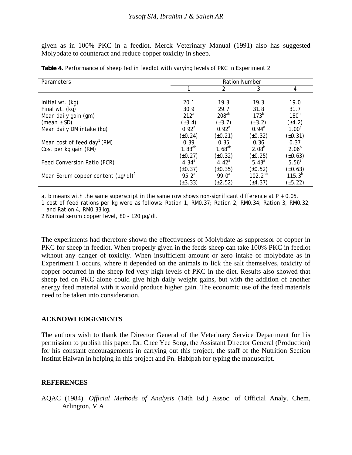given as in 100% PKC in a feedlot. Merck Veterinary Manual (1991) also has suggested Molybdate to counteract and reduce copper toxicity in sheep.

| Parameters                               | <b>Ration Number</b> |                   |                  |                   |
|------------------------------------------|----------------------|-------------------|------------------|-------------------|
|                                          |                      | $\mathcal{P}$     | 3                | 4                 |
|                                          |                      |                   |                  |                   |
| Initial wt. (kg)                         | 20.1                 | 19.3              | 19.3             | 19.0              |
| Final wt. (kg)                           | 30.9                 | 29.7              | 31.8             | 31.7              |
| Mean daily gain (gm)                     | 212 <sup>a</sup>     | $208^{ab}$        | 173 <sup>b</sup> | 180 <sup>b</sup>  |
| (mean $\pm$ SD)                          | $(\pm 3.4)$          | $(\pm 3.7)$       | $(\pm 3.2)$      | $(\pm 4.2)$       |
| Mean daily DM intake (kg)                | 0.92 <sup>a</sup>    | 0.92 <sup>a</sup> | $0.94^{\rm a}$   | $1.00^a$          |
|                                          | $(\pm 0.24)$         | $(\pm 0.21)$      | $(\pm 0.32)$     | $(\pm 0.31)$      |
| Mean cost of feed day <sup>1</sup> (RM)  | 0.39                 | 0.35              | 0.36             | 0.37              |
| Cost per kg gain (RM)                    | $1.83^{ab}$          | $1.68^{ab}$       | $2.08^{b}$       | $2.06^{b}$        |
|                                          | $(\pm 0.27)$         | $(\pm 0.32)$      | $(\pm 0.25)$     | $(\pm 0.63)$      |
| Feed Conversion Ratio (FCR)              | $4.34^{a}$           | 4.42 <sup>a</sup> | $5.43^{a}$       | 5.56 <sup>a</sup> |
|                                          | $(\pm 0.37)$         | $(\pm 0.35)$      | $(\pm 0.52)$     | $(\pm 0.63)$      |
| Mean Serum copper content $(\mu q/dl)^2$ | 95.2 <sup>a</sup>    | $99.0^a$          | $102.2^{ab}$     | $115.3^{b}$       |
|                                          | $(\pm 3.33)$         | $(\pm 2.52)$      | (±4.37)          | $(\pm 5.22)$      |

**Table 4.** Performance of sheep fed in feedlot with varying levels of PKC in Experiment 2

a, b means with the same superscript in the same row shows non-significant difference at  $P + 0.05$ .

1 cost of feed rations per kg were as follows: Ration 1, RM0.37; Ration 2, RM0.34; Ration 3, RM0.32; and Ration 4, RM0.33 kg.

2 Normal serum copper level, 80 - 120 µg/dl.

The experiments had therefore shown the effectiveness of Molybdate as suppressor of copper in PKC for sheep in feedlot. When properly given in the feeds sheep can take 100% PKC in feedlot without any danger of toxicity. When insufficient amount or zero intake of molybdate as in Experiment 1 occurs, where it depended on the animals to lick the salt themselves, toxicity of copper occurred in the sheep fed very high levels of PKC in the diet. Results also showed that sheep fed on PKC alone could give high daily weight gains, but with the addition of another energy feed material with it would produce higher gain. The economic use of the feed materials need to be taken into consideration.

#### **ACKNOWLEDGEMENTS**

The authors wish to thank the Director General of the Veterinary Service Department for his permission to publish this paper. Dr. Chee Yee Song, the Assistant Director General (Production) for his constant encouragements in carrying out this project, the staff of the Nutrition Section Institut Haiwan in helping in this project and Pn. Habipah for typing the manuscript.

#### **REFERENCES**

AQAC (1984). *Official Methods of Analysis* (14th Ed.) Assoc. of Official Analy. Chem. Arlington, V.A.